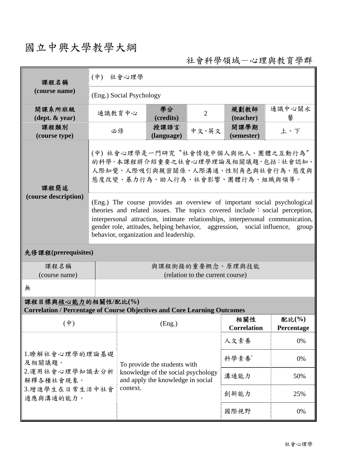## 國立中興大學教學大綱

社會科學領域-心理與教育學群

| 課程名稱                         | (中) 社會心理學                                                                                                                                                                                                                                                                                                                                                                |                                                                                           |                                   |       |                            |                  |  |  |  |
|------------------------------|--------------------------------------------------------------------------------------------------------------------------------------------------------------------------------------------------------------------------------------------------------------------------------------------------------------------------------------------------------------------------|-------------------------------------------------------------------------------------------|-----------------------------------|-------|----------------------------|------------------|--|--|--|
| (course name)                | (Eng.) Social Psychology                                                                                                                                                                                                                                                                                                                                                 |                                                                                           |                                   |       |                            |                  |  |  |  |
| 開課系所班級<br>(dept. & year)     | 通識教育中心                                                                                                                                                                                                                                                                                                                                                                   |                                                                                           | 學分<br>$\overline{2}$<br>(credits) |       | 規劃教師<br>(teacher)          | 通識中心關永<br>馨      |  |  |  |
| 課程類別<br>(course type)        |                                                                                                                                                                                                                                                                                                                                                                          | 必修                                                                                        | 授課語言<br>(language)                | 中文、英文 | 開課學期<br>(semester)         | 上、下              |  |  |  |
| 課程簡述<br>(course description) | (中)社會心理學是一門研究"社會情境中個人與他人、團體之互動行為"<br>的科學。本課程將介紹重要之社會心理學理論及相關議題,包括:社會認知、<br>人際知覺、人際吸引與親密關係、人際溝通、性別角色與社會行為、態度與<br>態度改變、暴力行為、助人行為、社會影響、團體行為、組織與領導。                                                                                                                                                                                                                          |                                                                                           |                                   |       |                            |                  |  |  |  |
|                              | (Eng.) The course provides an overview of important social psychological<br>theories and related issues. The topics covered include : social perception,<br>interpersonal attraction, intimate relationships, interpersonal communication,<br>gender role, attitudes, helping behavior, aggression, social influence,<br>group<br>behavior, organization and leadership. |                                                                                           |                                   |       |                            |                  |  |  |  |
| 先修課程(prerequisites)          |                                                                                                                                                                                                                                                                                                                                                                          |                                                                                           |                                   |       |                            |                  |  |  |  |
| 課程名稱<br>(course name)        | 與課程銜接的重要概念、原理與技能<br>(relation to the current course)                                                                                                                                                                                                                                                                                                                     |                                                                                           |                                   |       |                            |                  |  |  |  |
| 無                            |                                                                                                                                                                                                                                                                                                                                                                          |                                                                                           |                                   |       |                            |                  |  |  |  |
| 課程目標與核心能力的相關性/配比(%)          |                                                                                                                                                                                                                                                                                                                                                                          |                                                                                           |                                   |       |                            |                  |  |  |  |
| $(\dagger)$                  |                                                                                                                                                                                                                                                                                                                                                                          | <b>Correlation / Percentage of Course Objectives and Core Learning Outcomes</b><br>(Eng.) |                                   | 相關性   | 配比(%)                      |                  |  |  |  |
|                              |                                                                                                                                                                                                                                                                                                                                                                          | To provide the students with<br>knowledge of the social psychology                        |                                   |       | <b>Correlation</b><br>人文素養 | Percentage<br>0% |  |  |  |
| 1.瞭解社會心理學的理論基礎               | 科學素養'                                                                                                                                                                                                                                                                                                                                                                    |                                                                                           |                                   |       |                            |                  |  |  |  |
| 及相關議題。<br>2.運用社會心理學知識去分析     |                                                                                                                                                                                                                                                                                                                                                                          |                                                                                           |                                   |       | 0%                         |                  |  |  |  |
| 解釋各種社會現象。                    |                                                                                                                                                                                                                                                                                                                                                                          | and apply the knowledge in social                                                         |                                   | 溝通能力  | 50%                        |                  |  |  |  |
| 3.增進學生在日常生活中社會<br>適應與溝通的能力。  | context.                                                                                                                                                                                                                                                                                                                                                                 |                                                                                           |                                   | 創新能力  | 25%                        |                  |  |  |  |
|                              |                                                                                                                                                                                                                                                                                                                                                                          |                                                                                           |                                   |       | 國際視野                       | 0%               |  |  |  |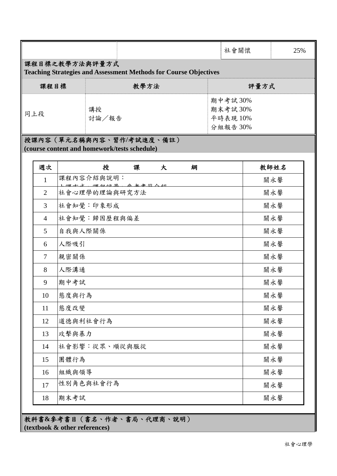|                                                                                         |                |          |                                              |                               |         |   |  | 社會關懷 | 25%  |  |  |
|-----------------------------------------------------------------------------------------|----------------|----------|----------------------------------------------|-------------------------------|---------|---|--|------|------|--|--|
| 課程目標之教學方法與評量方式                                                                          |                |          |                                              |                               |         |   |  |      |      |  |  |
| <b>Teaching Strategies and Assessment Methods for Course Objectives</b><br>課程目標<br>教學方法 |                |          |                                              |                               |         |   |  | 評量方式 |      |  |  |
|                                                                                         |                |          |                                              |                               |         |   |  |      |      |  |  |
| 講授<br>同上段<br>討論/報告                                                                      |                |          |                                              | 期中考試30%<br>期末考試30%<br>平時表現10% |         |   |  |      |      |  |  |
|                                                                                         |                |          |                                              |                               | 分組報告30% |   |  |      |      |  |  |
| 授課內容 (單元名稱與內容、習作/考試進度、備註)                                                               |                |          |                                              |                               |         |   |  |      |      |  |  |
|                                                                                         |                |          | (course content and homework/tests schedule) |                               |         |   |  |      |      |  |  |
|                                                                                         | 週次             |          | 授                                            | 課                             | 大       | 綱 |  |      | 教師姓名 |  |  |
|                                                                                         | 1              |          | 課程內容介紹與說明:                                   | 2万旦 众 乜 尹 然 八                 |         |   |  |      | 關永馨  |  |  |
|                                                                                         | $\overline{2}$ |          | 社會心理學的理論與研究方法                                |                               |         |   |  |      | 關永馨  |  |  |
|                                                                                         | 3              |          | 社會知覺:印象形成                                    |                               |         |   |  |      | 關永馨  |  |  |
|                                                                                         | $\overline{4}$ |          | 社會知覺:歸因歷程與偏差                                 |                               |         |   |  |      | 關永馨  |  |  |
|                                                                                         | 5              | 自我與人際關係  |                                              |                               |         |   |  |      | 關永馨  |  |  |
|                                                                                         | 6              | 人際吸引     |                                              |                               |         |   |  |      | 關永馨  |  |  |
|                                                                                         | $\tau$         | 親密關係     |                                              |                               |         |   |  |      | 關永馨  |  |  |
|                                                                                         | 8              | 人際溝通     |                                              |                               |         |   |  |      | 關永馨  |  |  |
|                                                                                         | 9              | 期中考試     |                                              |                               |         |   |  |      | 關永馨  |  |  |
|                                                                                         | 10             | 態度與行為    |                                              |                               |         |   |  |      | 關永馨  |  |  |
|                                                                                         | 11             | 態度改變     |                                              |                               |         |   |  |      | 關永馨  |  |  |
|                                                                                         | 12             | 道德與利社會行為 |                                              |                               |         |   |  |      | 關永馨  |  |  |
|                                                                                         | 13             | 攻擊與暴力    |                                              |                               |         |   |  |      | 關永馨  |  |  |
|                                                                                         | 14             |          | 社會影響:從眾、順從與服從                                |                               |         |   |  |      | 關永馨  |  |  |
|                                                                                         | 15             | 團體行為     |                                              |                               |         |   |  |      | 關永馨  |  |  |
|                                                                                         | 16             | 組織與領導    |                                              |                               |         |   |  |      | 關永馨  |  |  |
|                                                                                         | 17             |          | 性別角色與社會行為                                    |                               |         |   |  |      | 關永馨  |  |  |
|                                                                                         | 18             | 期末考試     |                                              |                               |         |   |  |      | 關永馨  |  |  |

教科書**&**參考書目(書名、作者、書局、代理商、說明) **(textbook & other references)**